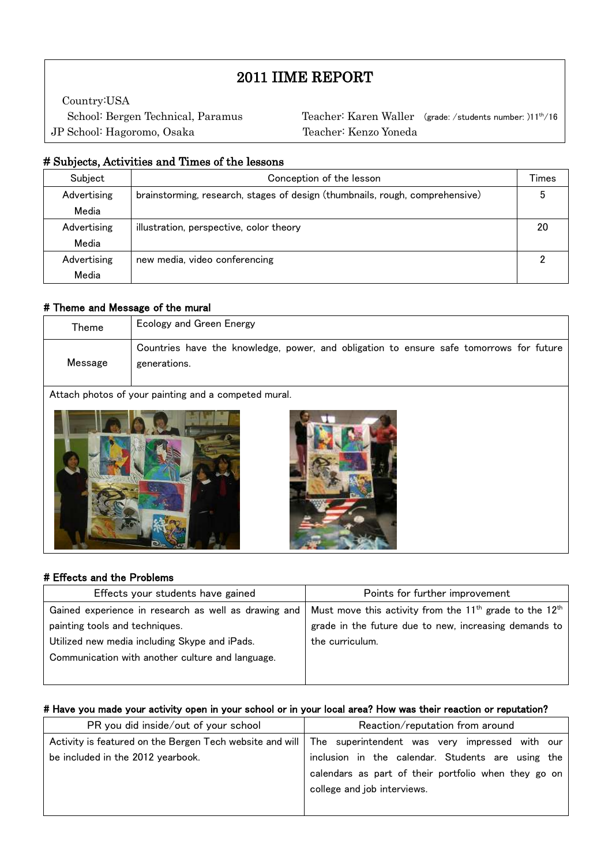# 2011 IIME REPORT

Country:USA JP School: Hagoromo, Osaka Teacher: Kenzo Yoneda

 $\mathsf I$  $\mathsf I$  $\mathsf I$ 

 $\mathsf I$ L School: Bergen Technical, Paramus Teacher: Karen Waller (grade: /students number: )11<sup>th</sup>/16

### # Subjects, Activities and Times of the lessons

| Subject     | Conception of the lesson                                                     |    |  |  |  |
|-------------|------------------------------------------------------------------------------|----|--|--|--|
| Advertising | brainstorming, research, stages of design (thumbnails, rough, comprehensive) |    |  |  |  |
| Media       |                                                                              |    |  |  |  |
| Advertising | illustration, perspective, color theory                                      | 20 |  |  |  |
| Media       |                                                                              |    |  |  |  |
| Advertising | new media, video conferencing                                                |    |  |  |  |
| Media       |                                                                              |    |  |  |  |

#### # Theme and Message of the mural

| Theme   | Ecology and Green Energy                                                                                |
|---------|---------------------------------------------------------------------------------------------------------|
| Message | Countries have the knowledge, power, and obligation to ensure safe tomorrows for future<br>generations. |
|         |                                                                                                         |

Attach photos of your painting and a competed mural.





#### # Effects and the Problems

| Effects your students have gained                    | Points for further improvement                              |
|------------------------------------------------------|-------------------------------------------------------------|
| Gained experience in research as well as drawing and | Must move this activity from the $11th$ grade to the $12th$ |
| painting tools and techniques.                       | grade in the future due to new, increasing demands to       |
| Utilized new media including Skype and iPads.        | the curriculum.                                             |
| Communication with another culture and language.     |                                                             |
|                                                      |                                                             |

#### # Have you made your activity open in your school or in your local area? How was their reaction or reputation?

| PR you did inside/out of your school | Reaction/reputation from around                                                                           |  |  |  |
|--------------------------------------|-----------------------------------------------------------------------------------------------------------|--|--|--|
|                                      | Activity is featured on the Bergen Tech website and will   The superintendent was very impressed with our |  |  |  |
| be included in the 2012 yearbook.    | inclusion in the calendar. Students are using the                                                         |  |  |  |
|                                      | calendars as part of their portfolio when they go on                                                      |  |  |  |
|                                      | college and job interviews.                                                                               |  |  |  |
|                                      |                                                                                                           |  |  |  |